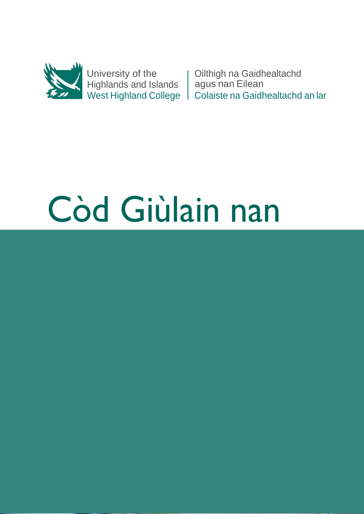

University of the Highlands and Islands West Highland College

Oilthigh na Gaidhealtachd agus nan Eilean Colaiste na Gaidhealtachd an lar

# Còd Giùlain nan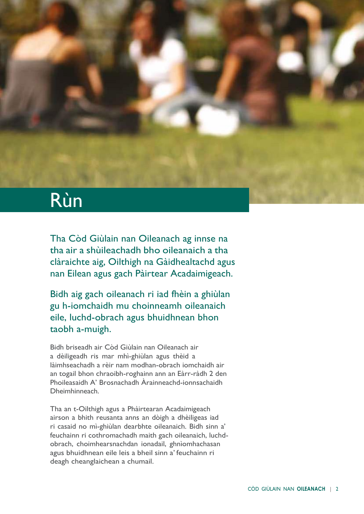## Rùn

Tha Còd Giùlain nan Oileanach ag innse na tha air a shùileachadh bho oileanaich a tha clàraichte aig, Oilthigh na Gàidhealtachd agus nan Eilean agus gach Pàirtear Acadaimigeach.

Bidh aig gach oileanach ri iad fhèin a ghiùlan gu h-iomchaidh mu choinneamh oileanaich eile, luchd-obrach agus bhuidhnean bhon taobh a-muigh.

Bidh briseadh air Còd Giùlain nan Oileanach air a dèiligeadh ris mar mhì-ghiùlan agus thèid a làimhseachadh a rèir nam modhan-obrach iomchaidh air an togail bhon chraoibh-roghainn ann an Eàrr-ràdh 2 den Phoileasaidh A' Brosnachadh Àrainneachd-ionnsachaidh Dheimhinneach.

Tha an t-Oilthigh agus a Phàirtearan Acadaimigeach airson a bhith reusanta anns an dòigh a dhèiligeas iad ri casaid no mì-ghiùlan dearbhte oileanaich. Bidh sinn a' feuchainn ri cothromachadh maith gach oileanaich, luchdobrach, choimhearsnachdan ionadail, ghnìomhachasan agus bhuidhnean eile leis a bheil sinn a' feuchainn ri deagh cheanglaichean a chumail.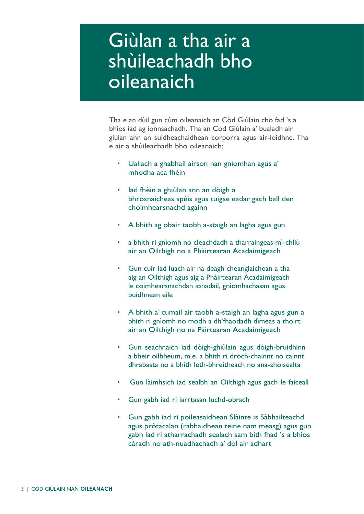### Giùlan a tha air a shùileachadh bho oileanaich

Tha e an dùil gun cùm oileanaich an Còd Giùlain cho fad 's a bhios iad ag ionnsachadh. Tha an Còd Giùlain a' bualadh air giùlan ann an suidheachaidhean corporra agus air-loidhne. Tha e air a shùileachadh bho oileanaich:

- Uallach a ghabhail airson nan gnìomhan agus a' mhodha aca fhèin
- Iad fhèin a ghiùlan ann an dòigh a bhrosnaicheas spèis agus tuigse eadar gach ball den choimhearsnachd againn
- A bhith ag obair taobh a-staigh an lagha agus gun
- a bhith ri gnìomh no cleachdadh a tharraingeas mì-chliù air an Oilthigh no a Phàirtearan Acadaimigeach
- Gun cuir iad luach air na deagh cheanglaichean a tha aig an Oilthigh agus aig a Phàirtearan Acadaimigeach le coimhearsnachdan ionadail, gnìomhachasan agus buidhnean eile
- A bhith a' cumail air taobh a-staigh an lagha agus gun a bhith ri gnìomh no modh a dh'fhaodadh dìmeas a thoirt air an Oilthigh no na Pàirtearan Acadaimigeach
- Gun seachnaich iad dòigh-ghiùlain agus dòigh-bruidhinn a bheir oilbheum, m.e. a bhith ri droch-chainnt no cainnt dhrabasta no a bhith leth-bhreitheach no ana-shòisealta
- Gun làimhsich iad sealbh an Oilthigh agus gach le faiceall
- Gun gabh iad ri iarrtasan luchd-obrach
- Gun gabh iad ri poileasaidhean Slàinte is Sàbhailteachd agus pròtacalan (rabhaidhean teine nam measg) agus gun gabh iad ri atharrachadh sealach sam bith fhad 's a bhios càradh no ath-nuadhachadh a' dol air adhart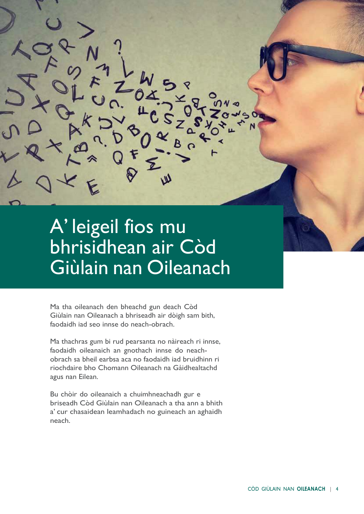#### A' leigeil fios mu bhrisidhean air Còd Giùlain nan Oileanach

Ma tha oileanach den bheachd gun deach Còd Giùlain nan Oileanach a bhriseadh air dòigh sam bith, faodaidh iad seo innse do neach-obrach.

Ma thachras gum bi rud pearsanta no nàireach ri innse, faodaidh oileanaich an gnothach innse do neachobrach sa bheil earbsa aca no faodaidh iad bruidhinn ri riochdaire bho Chomann Oileanach na Gàidhealtachd agus nan Eilean.

Bu chòir do oileanaich a chuimhneachadh gur e briseadh Còd Giùlain nan Oileanach a tha ann a bhith a' cur chasaidean leamhadach no guineach an aghaidh neach.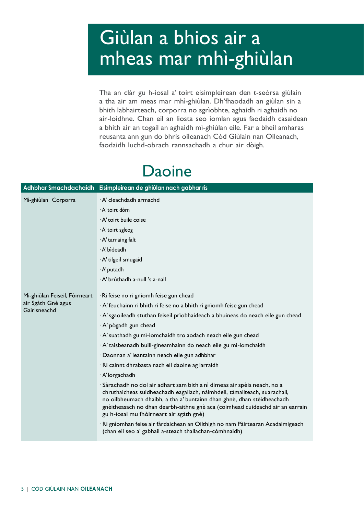# Giùlan a bhios air a mheas mar mhì-ghiùlan

Tha an clàr gu h-ìosal a' toirt eisimpleirean den t-seòrsa giùlain a tha air am meas mar mhì-ghiùlan. Dh'fhaodadh an giùlan sin a bhith labhairteach, corporra no sgrìobhte, aghaidh ri aghaidh no air-loidhne. Chan eil an liosta seo iomlan agus faodaidh casaidean a bhith air an togail an aghaidh mì-ghiùlan eile. Far a bheil amharas reusanta ann gun do bhris oileanach Còd Giùlain nan Oileanach, faodaidh luchd-obrach rannsachadh a chur air dòigh.

#### Daoine

|                                                                     | Adhbhar Smachdachaidh   Eisimpleirean de ghiùlan nach gabhar ris                                                                                                                                                                                                                                                                                            |
|---------------------------------------------------------------------|-------------------------------------------------------------------------------------------------------------------------------------------------------------------------------------------------------------------------------------------------------------------------------------------------------------------------------------------------------------|
| Mì-ghiùlan Corporra                                                 | · A' cleachdadh armachd                                                                                                                                                                                                                                                                                                                                     |
|                                                                     | · A' toirt dòrn                                                                                                                                                                                                                                                                                                                                             |
|                                                                     | A' toirt buile coise                                                                                                                                                                                                                                                                                                                                        |
|                                                                     | · A' toirt sgleog                                                                                                                                                                                                                                                                                                                                           |
|                                                                     | · A' tarraing falt                                                                                                                                                                                                                                                                                                                                          |
|                                                                     | · A' bìdeadh                                                                                                                                                                                                                                                                                                                                                |
|                                                                     | · A' tilgeil smugaid                                                                                                                                                                                                                                                                                                                                        |
|                                                                     | · A' putadh                                                                                                                                                                                                                                                                                                                                                 |
|                                                                     | · A' brùthadh a-null 's a-nall                                                                                                                                                                                                                                                                                                                              |
| Mi-ghiùlan Feiseil, Fòirneart<br>air Sgàth Gnè agus<br>Gairisneachd | Ri feise no ri gnìomh feise gun chead                                                                                                                                                                                                                                                                                                                       |
|                                                                     | A' feuchainn ri bhith ri feise no a bhith ri gnìomh feise gun chead                                                                                                                                                                                                                                                                                         |
|                                                                     | A' sgaoileadh stuthan feiseil prìobhaideach a bhuineas do neach eile gun chead                                                                                                                                                                                                                                                                              |
|                                                                     | · A' pògadh gun chead                                                                                                                                                                                                                                                                                                                                       |
|                                                                     | · A' suathadh gu mì-iomchaidh tro aodach neach eile gun chead                                                                                                                                                                                                                                                                                               |
|                                                                     | · A' taisbeanadh buill-gineamhainn do neach eile gu mì-iomchaidh                                                                                                                                                                                                                                                                                            |
|                                                                     | · Daonnan a' leantainn neach eile gun adhbhar                                                                                                                                                                                                                                                                                                               |
|                                                                     | · Ri cainnt dhrabasta nach eil daoine ag iarraidh                                                                                                                                                                                                                                                                                                           |
|                                                                     | · A' lorgachadh                                                                                                                                                                                                                                                                                                                                             |
|                                                                     | · Sàrachadh no dol air adhart sam bith a nì dimeas air spèis neach, no a<br>chruthaicheas suidheachadh eagallach, nàimhdeil, tàmailteach, suarachail,<br>no oilbheumach dhaibh, a tha a' buntainn dhan ghnè, dhan stèidheachadh<br>gnèitheasach no dhan dearbh-aithne gnè aca (coimhead cuideachd air an earrain<br>gu h-ìosal mu fhòirneart air sgàth gnè) |
|                                                                     | Ri gnìomhan feise air fàrdaichean an Oilthigh no nam Pàirtearan Acadaimigeach<br>(chan eil seo a' gabhail a-steach thallachan-còmhnaidh)                                                                                                                                                                                                                    |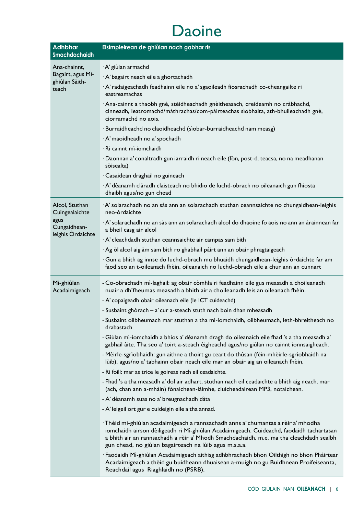#### Daoine

| <b>Adhbhar</b><br>Smachdachaidh                          | Eisimpleirean de ghiùlan nach gabhar ris                                                                                                                                                                                                                                                                                         |
|----------------------------------------------------------|----------------------------------------------------------------------------------------------------------------------------------------------------------------------------------------------------------------------------------------------------------------------------------------------------------------------------------|
| Ana-chainnt,                                             | · A' giùlan armachd                                                                                                                                                                                                                                                                                                              |
| Bagairt, agus Mì-                                        | · A' bagairt neach eile a ghortachadh                                                                                                                                                                                                                                                                                            |
| ghiùlan Sàith-<br>teach                                  | A' radaigeachadh feadhainn eile no a' sgaoileadh fiosrachadh co-cheangailte ri<br>eastreamachas                                                                                                                                                                                                                                  |
|                                                          | Ana-cainnt a thaobh gnè, stèidheachadh gnèitheasach, creideamh no cràbhachd,<br>cinneadh, leatromachd/màthrachas/com-pàirteachas sìobhalta, ath-bhuileachadh gnè,<br>ciorramachd no aois.                                                                                                                                        |
|                                                          | · Burraidheachd no claoidheachd (sìobar-burraidheachd nam measg)                                                                                                                                                                                                                                                                 |
|                                                          | · A' maoidheadh no a' spochadh                                                                                                                                                                                                                                                                                                   |
|                                                          | · Ri cainnt mì-iomchaidh                                                                                                                                                                                                                                                                                                         |
|                                                          | · Daonnan a' conaltradh gun iarraidh ri neach eile (fòn, post-d, teacsa, no na meadhanan<br>sòisealta)                                                                                                                                                                                                                           |
|                                                          | · Casaidean draghail no guineach                                                                                                                                                                                                                                                                                                 |
|                                                          | A' dèanamh clàradh claisteach no bhidio de luchd-obrach no oileanaich gun fhiosta<br>dhaibh agus/no gun chead                                                                                                                                                                                                                    |
| Alcol, Stuthan<br>Cuingealaichte<br>agus<br>Cungaidhean- | A' solarachadh no an sàs ann an solarachadh stuthan ceannsaichte no chungaidhean-leighis<br>neo-òrdaichte                                                                                                                                                                                                                        |
|                                                          | A' solarachadh no an sàs ann an solarachadh alcol do dhaoine fo aois no ann an àrainnean far<br>a bheil casg air alcol                                                                                                                                                                                                           |
| leighis Ordaichte                                        | A' cleachdadh stuthan ceannsaichte air campas sam bith                                                                                                                                                                                                                                                                           |
|                                                          | Ag òl alcol aig àm sam bith ro ghabhail pàirt ann an obair phragtaigeach                                                                                                                                                                                                                                                         |
|                                                          | · Gun a bhith ag innse do luchd-obrach mu bhuaidh chungaidhean-leighis òrdaichte far am<br>faod seo an t-oileanach fhèin, oileanaich no luchd-obrach eile a chur ann an cunnart                                                                                                                                                  |
| Mì-ghiùlan<br>Acadaimigeach                              | - Co-obrachadh mì-laghail: ag obair còmhla ri feadhainn eile gus measadh a choileanadh<br>nuair a dh'fheumas measadh a bhith air a choileanadh leis an oileanach fhèin.                                                                                                                                                          |
|                                                          | - A' copaigeadh obair oileanach eile (le ICT cuideachd)                                                                                                                                                                                                                                                                          |
|                                                          | - Susbaint ghòrach - a' cur a-steach stuth nach boin dhan mheasadh                                                                                                                                                                                                                                                               |
|                                                          | - Susbaint oilbheumach mar stuthan a tha mì-iomchaidh, oilbheumach, leth-bhreitheach no<br>drabastach                                                                                                                                                                                                                            |
|                                                          | - Giùlan mì-iomchaidh a bhios a' dèanamh dragh do oileanaich eile fhad 's a tha measadh a'<br>gabhail àite. Tha seo a' toirt a-steach èigheachd agus/no giùlan no cainnt ionnsaigheach.                                                                                                                                          |
|                                                          | - Mèirle-sgrìobhaidh: gun aithne a thoirt gu ceart do thùsan (fèin-mhèirle-sgrìobhaidh na<br>lùib), agus/no a' tabhainn obair neach eile mar an obair aig an oileanach fhèin.                                                                                                                                                    |
|                                                          | - Ri foill: mar as trice le goireas nach eil ceadaichte.                                                                                                                                                                                                                                                                         |
|                                                          | - Fhad 's a tha measadh a' dol air adhart, stuthan nach eil ceadaichte a bhith aig neach, mar<br>(ach, chan ann a-mhàin) fònaichean-làimhe, cluicheadairean MP3, notaichean.                                                                                                                                                     |
|                                                          | - A' dèanamh suas no a' breugnachadh dàta                                                                                                                                                                                                                                                                                        |
|                                                          | - A' leigeil ort gur e cuideigin eile a tha annad.                                                                                                                                                                                                                                                                               |
|                                                          | Thèid mi-ghiùlan acadaimigeach a rannsachadh anns a' chumantas a rèir a' mhodha<br>iomchaidh airson dèiligeadh ri Mì-ghiùlan Acadaimigeach. Cuideachd, faodaidh tachartasan<br>a bhith air an rannsachadh a rèir a' Mhodh Smachdachaidh, m.e. ma tha cleachdadh sealbh<br>gun chead, no giùlan bagairteach na lùib agus m.s.a.a. |
|                                                          | Faodaidh Mì-ghiùlan Acadaimigeach aithisg adhbhrachadh bhon Oilthigh no bhon Phàirtear<br>Acadaimigeach a thèid gu buidheann dhuaisean a-muigh no gu Buidhnean Proifeiseanta,<br>Reachdail agus Riaghlaidh no (PSRB).                                                                                                            |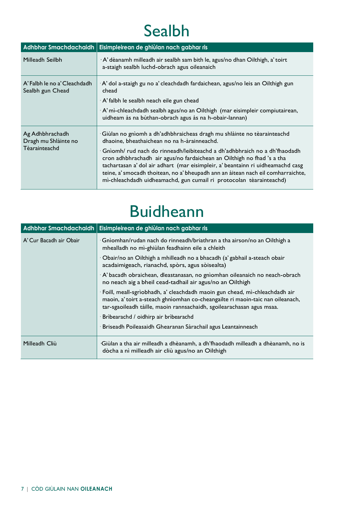#### Sealbh

| <b>Adhbhar Smachdachaidh</b>                             | Eisimpleirean de ghiùlan nach gabhar ris                                                                                                                                                                                                                                                                                                                                                          |
|----------------------------------------------------------|---------------------------------------------------------------------------------------------------------------------------------------------------------------------------------------------------------------------------------------------------------------------------------------------------------------------------------------------------------------------------------------------------|
| Milleadh Seilbh                                          | $\cdot$ A' dèanamh milleadh air sealbh sam bith le, agus/no dhan Oilthigh, a' toirt<br>a-staigh sealbh luchd-obrach agus oileanaich                                                                                                                                                                                                                                                               |
| A' Falbh le no a' Cleachdadh<br>Sealbh gun Chead         | ∙A' dol a-staigh gu no a' cleachdadh fardaichean, agus/no leis an Oilthigh gun<br>chead<br>$\cdot$ A' falbh le sealbh neach eile gun chead                                                                                                                                                                                                                                                        |
|                                                          | ∙ A'mì-chleachdadh sealbh agus/no an Oilthigh  (mar eisimpleir compiutairean,<br>uidheam às na bùthan-obrach agus às na h-obair-lannan)                                                                                                                                                                                                                                                           |
| Ag Adhbhrachadh<br>Dragh mu Shlàinte no<br>Tèarainteachd | Giùlan no gnìomh a dh'adhbhraicheas dragh mu shlàinte no tèarainteachd<br>dhaoine, bheathaichean no na h-àrainneachd.                                                                                                                                                                                                                                                                             |
|                                                          | Gnìomh/ rud nach do rinneadh/leibiteachd a dh'adhbhraich no a dh'fhaodadh<br>cron adhbhrachadh air agus/no fardaichean an Oilthigh no fhad 's a tha<br>tachartasan a' dol air adhart (mar eisimpleir, a' beantainn ri uidheamachd casg<br>teine, a' smocadh thoitean, no a' bheupadh ann an àitean nach eil comharraichte,<br>mì-chleachdadh uidheamachd, gun cumail ri protocolan tèarainteachd) |

#### Buidheann

| <b>Adhbhar Smachdachaidh</b> | Eisimpleirean de ghiùlan nach gabhar ris                                                                                                                                                                                                |
|------------------------------|-----------------------------------------------------------------------------------------------------------------------------------------------------------------------------------------------------------------------------------------|
| A' Cur Bacadh air Obair      | $\cdot$ Gnìomhan/rudan nach do rinneadh/briathran a tha airson/no an Oilthigh a<br>mhealladh no mì-ghiùlan feadhainn eile a chleith                                                                                                     |
|                              | ∙ Obair/no an Oilthigh a mhilleadh no a bhacadh (a' gabhail a-steach obair<br>acadaimigeach, rianachd, spòrs, agus sòisealta)                                                                                                           |
|                              | A' bacadh obraichean, dleastanasan, no gnìomhan oileanaich no neach-obrach<br>no neach aig a bheil cead-tadhail air agus/no an Oilthigh                                                                                                 |
|                              | · Foill, meall-sgrìobhadh, a' cleachdadh maoin gun chead, mì-chleachdadh air<br>maoin, a' toirt a-steach ghnìomhan co-cheangailte ri maoin-taic nan oileanach,<br>tar-sgaoileadh tàille, maoin rannsachaidh, sgoilearachasan agus msaa. |
|                              | Brìbearachd / oidhirp air brìbearachd                                                                                                                                                                                                   |
|                              | Briseadh Poileasaidh Ghearanan Sàrachail agus Leantainneach                                                                                                                                                                             |
| Milleadh Cliù                | Giùlan a tha air milleadh a dhèanamh, a dh'fhaodadh milleadh a dhèanamh, no is<br>dòcha a nì milleadh air cliù agus/no an Oilthigh                                                                                                      |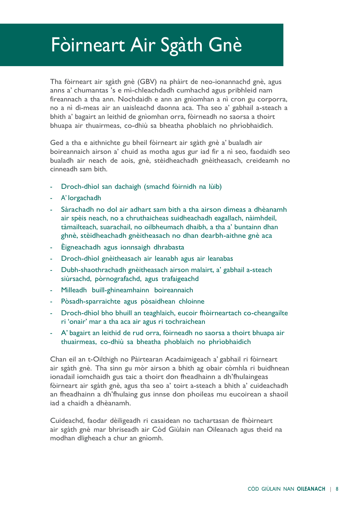# Fòirneart Air Sgàth Gnè

Tha fòirneart air sgàth gnè (GBV) na phàirt de neo-ionannachd gnè, agus anns a' chumantas 's e mì-chleachdadh cumhachd agus pribhleid nam fireannach a tha ann. Nochdaidh e ann an gnìomhan a nì cron gu corporra, no a nì dì-meas air an uaisleachd daonna aca. Tha seo a' gabhail a-steach a bhith a' bagairt an leithid de gnìomhan orra, fòirneadh no saorsa a thoirt bhuapa air thuairmeas, co-dhiù sa bheatha phoblaich no phrìobhaidich.

Ged a tha e aithnichte gu bheil fòirneart air sgàth gnè a' bualadh air boireannaich airson a' chuid as motha agus gur iad fir a nì seo, faodaidh seo bualadh air neach de aois, gnè, stèidheachadh gnèitheasach, creideamh no cinneadh sam bith.

- Droch-dhìol san dachaigh (smachd fòirnidh na lùib)
- A' lorgachadh
- Sàrachadh no dol air adhart sam bith a tha airson dìmeas a dhèanamh air spèis neach, no a chruthaicheas suidheachadh eagallach, nàimhdeil, tàmailteach, suarachail, no oilbheumach dhaibh, a tha a' buntainn dhan ghnè, stèidheachadh gnèitheasach no dhan dearbh-aithne gnè aca
- Èigneachadh agus ionnsaigh dhrabasta
- Droch-dhìol gnèitheasach air leanabh agus air leanabas
- Dubh-shaothrachadh gnèitheasach airson malairt, a' gabhail a-steach siùrsachd, pòrnografachd, agus trafaigeachd
- Milleadh buill-ghineamhainn boireannaich
- Pòsadh-sparraichte agus pòsaidhean chloinne
- Droch-dhìol bho bhuill an teaghlaich, eucoir fhòirneartach co-cheangailte ri 'onair' mar a tha aca air agus ri tochraichean
- A' bagairt an leithid de rud orra, fòirneadh no saorsa a thoirt bhuapa air thuairmeas, co-dhiù sa bheatha phoblaich no phrìobhaidich

Chan eil an t-Oilthigh no Pàirtearan Acadaimigeach a' gabhail ri fòirneart air sgàth gnè. Tha sinn gu mòr airson a bhith ag obair còmhla ri buidhnean ionadail iomchaidh gus taic a thoirt don fheadhainn a dh'fhulaingeas fòirneart air sgàth gnè, agus tha seo a' toirt a-steach a bhith a' cuideachadh an fheadhainn a dh'fhulaing gus innse don phoileas mu eucoirean a shaoil iad a chaidh a dhèanamh.

Cuideachd, faodar dèiligeadh ri casaidean no tachartasan de fhòirneart air sgàth gnè mar bhriseadh air Còd Giùlain nan Oileanach agus theid na modhan dligheach a chur an gnìomh.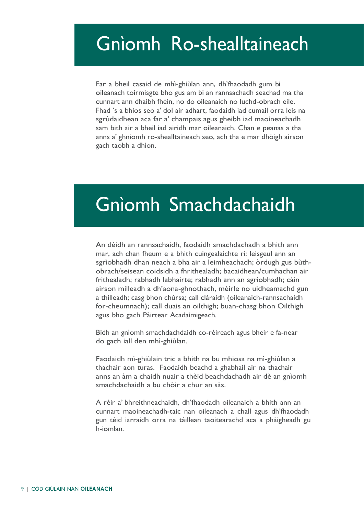### Gnìomh Ro-shealltaineach

Far a bheil casaid de mhì-ghiùlan ann, dh'fhaodadh gum bi oileanach toirmisgte bho gus am bi an rannsachadh seachad ma tha cunnart ann dhaibh fhèin, no do oileanaich no luchd-obrach eile. Fhad 's a bhios seo a' dol air adhart, faodaidh iad cumail orra leis na sgrùdaidhean aca far a' champais agus gheibh iad maoineachadh sam bith air a bheil iad airidh mar oileanaich. Chan e peanas a tha anns a' ghnìomh ro-shealltaineach seo, ach tha e mar dhòigh airson gach taobh a dhìon.

# Gnìomh Smachdachaidh

An dèidh an rannsachaidh, faodaidh smachdachadh a bhith ann mar, ach chan fheum e a bhith cuingealaichte ri: leisgeul ann an sgrìobhadh dhan neach a bha air a leimheachadh; òrdugh gus bùthobrach/seisean coidsidh a fhrithealadh; bacaidhean/cumhachan air frithealadh; rabhadh labhairte; rabhadh ann an sgrìobhadh; càin airson milleadh a dh'aona-ghnothach, mèirle no uidheamachd gun a thilleadh; casg bhon chùrsa; call clàraidh (oileanaich-rannsachaidh for-cheumnach); call duais an oilthigh; buan-chasg bhon Oilthigh agus bho gach Pàirtear Acadaimigeach.

Bidh an gnìomh smachdachdaidh co-rèireach agus bheir e fa-near do gach iall den mhì-ghiùlan.

Faodaidh mì-ghiùlain tric a bhith na bu mhiosa na mì-ghiùlan a thachair aon turas. Faodaidh beachd a ghabhail air na thachair anns an àm a chaidh nuair a thèid beachdachadh air dè an gnìomh smachdachaidh a bu chòir a chur an sàs.

A rèir a' bhreithneachaidh, dh'fhaodadh oileanaich a bhith ann an cunnart maoineachadh-taic nan oileanach a chall agus dh'fhaodadh gun tèid iarraidh orra na tàillean taoitearachd aca a phàigheadh gu h-iomlan.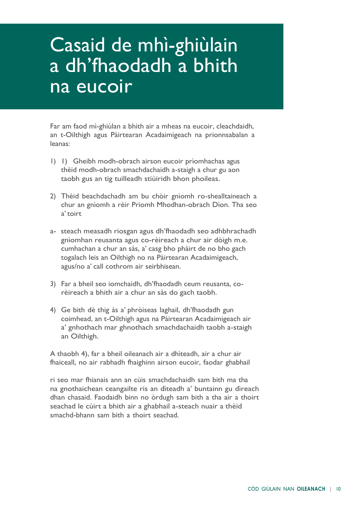## Casaid de mhì-ghiùlain a dh'fhaodadh a bhith na eucoir

Far am faod mì-ghiùlan a bhith air a mheas na eucoir, cleachdaidh, an t-Oilthigh agus Pàirtearan Acadaimigeach na prionnsabalan a leanas:

- 1) 1) Gheibh modh-obrach airson eucoir prìomhachas agus thèid modh-obrach smachdachaidh a-staigh a chur gu aon taobh gus an tig tuilleadh stiùiridh bhon phoileas.
- 2) Thèid beachdachadh am bu chòir gnìomh ro-shealltaineach a chur an gnìomh a rèir Prìomh Mhodhan-obrach Dìon. Tha seo a'toirt
- a- steach measadh riosgan agus dh'fhaodadh seo adhbhrachadh gnìomhan reusanta agus co-rèireach a chur air dòigh m.e. cumhachan a chur an sàs, a' casg bho phàirt de no bho gach togalach leis an Oilthigh no na Pàirtearan Acadaimigeach, agus/no a' call cothrom air seirbhisean.
- 3) Far a bheil seo iomchaidh, dh'fhaodadh ceum reusanta, corèireach a bhith air a chur an sàs do gach taobh.
- 4) Ge bith dè thig às a' phròiseas laghail, dh'fhaodadh gun coimhead, an t-Oilthigh agus na Pàirtearan Acadaimigeach air a' gnhothach mar ghnothach smachdachaidh taobh a-staigh an Oilthigh.

A thaobh 4), far a bheil oileanach air a dhìteadh, air a chur air fhaiceall, no air rabhadh fhaighinn airson eucoir, faodar ghabhail

ri seo mar fhianais ann an cùis smachdachaidh sam bith ma tha na gnothaichean ceangailte ris an dìteadh a' buntainn gu dìreach dhan chasaid. Faodaidh binn no òrdugh sam bith a tha air a thoirt seachad le cùirt a bhith air a ghabhail a-steach nuair a thèid smachd-bhann sam bith a thoirt seachad.